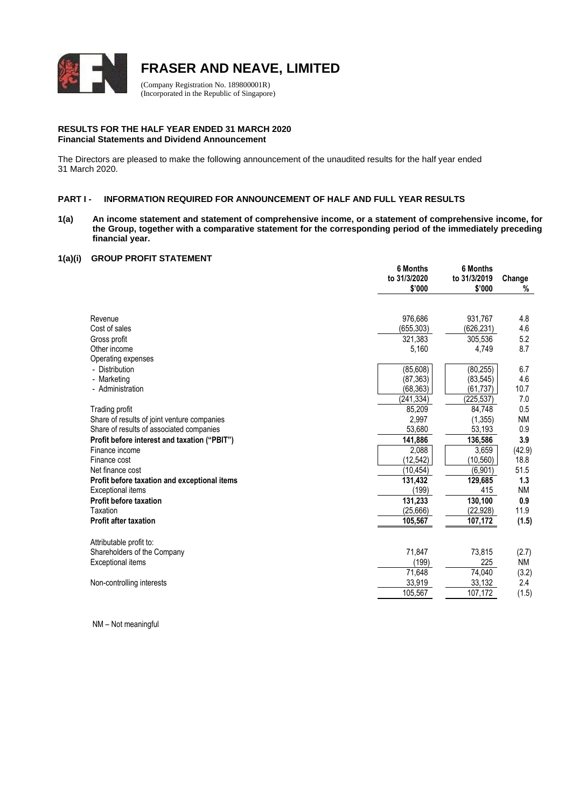

# **FRASER AND NEAVE, LIMITED**

(Company Registration No. 189800001R) (Incorporated in the Republic of Singapore)

#### **RESULTS FOR THE HALF YEAR ENDED 31 MARCH 2020 Financial Statements and Dividend Announcement**

The Directors are pleased to make the following announcement of the unaudited results for the half year ended 31 March 2020.

## **PART I - INFORMATION REQUIRED FOR ANNOUNCEMENT OF HALF AND FULL YEAR RESULTS**

**1(a) An income statement and statement of comprehensive income, or a statement of comprehensive income, for the Group, together with a comparative statement for the corresponding period of the immediately preceding financial year.**

#### **1(a)(i) GROUP PROFIT STATEMENT**

|                                              | 6 Months<br>to 31/3/2020<br>\$'000 | 6 Months<br>to 31/3/2019<br>\$'000 | Change<br>% |
|----------------------------------------------|------------------------------------|------------------------------------|-------------|
|                                              |                                    |                                    |             |
| Revenue                                      | 976,686                            | 931,767                            | 4.8         |
| Cost of sales                                | (655,303)                          | (626,231)                          | 4.6         |
| Gross profit                                 | 321.383                            | 305.536                            | 5.2         |
| Other income                                 | 5,160                              | 4,749                              | 8.7         |
| Operating expenses                           |                                    |                                    |             |
| - Distribution                               | (85, 608)                          | (80, 255)                          | 6.7         |
| - Marketing                                  | (87, 363)                          | (83, 545)                          | 4.6         |
| - Administration                             | (68, 363)                          | (61, 737)                          | 10.7        |
|                                              | (241, 334)                         | (225, 537)                         | 7.0         |
| Trading profit                               | 85,209                             | 84.748                             | 0.5         |
| Share of results of joint venture companies  | 2,997                              | (1, 355)                           | <b>NM</b>   |
| Share of results of associated companies     | 53,680                             | 53,193                             | 0.9         |
| Profit before interest and taxation ("PBIT") | 141,886                            | 136,586                            | 3.9         |
| Finance income                               | 2,088                              | 3,659                              | (42.9)      |
| Finance cost                                 | (12, 542)                          | (10, 560)                          | 18.8        |
| Net finance cost                             | (10, 454)                          | (6,901)                            | 51.5        |
| Profit before taxation and exceptional items | 131,432                            | 129,685                            | 1.3         |
| <b>Exceptional items</b>                     | (199)                              | 415                                | <b>NM</b>   |
| <b>Profit before taxation</b>                | 131,233                            | 130,100                            | 0.9         |
| Taxation                                     | (25,666)                           | (22, 928)                          | 11.9        |
| <b>Profit after taxation</b>                 | 105,567                            | 107,172                            | (1.5)       |
| Attributable profit to:                      |                                    |                                    |             |
| Shareholders of the Company                  | 71,847                             | 73,815                             | (2.7)       |
| Exceptional items                            | (199)                              | 225                                | <b>NM</b>   |
|                                              | 71,648                             | 74,040                             | (3.2)       |
| Non-controlling interests                    | 33,919                             | 33,132                             | 2.4         |
|                                              | 105,567                            | 107,172                            | (1.5)       |

NM – Not meaningful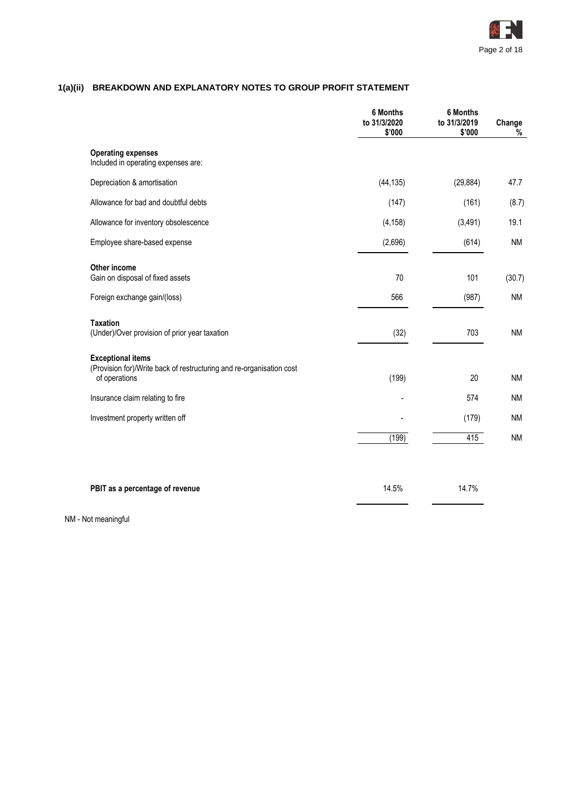

# **1(a)(ii) BREAKDOWN AND EXPLANATORY NOTES TO GROUP PROFIT STATEMENT**

|                                                                                                                   | 6 Months<br>to 31/3/2020<br>\$'000 | <b>6 Months</b><br>to 31/3/2019<br>\$'000 | Change<br>% |
|-------------------------------------------------------------------------------------------------------------------|------------------------------------|-------------------------------------------|-------------|
| <b>Operating expenses</b><br>Included in operating expenses are:                                                  |                                    |                                           |             |
| Depreciation & amortisation                                                                                       | (44, 135)                          | (29, 884)                                 | 47.7        |
| Allowance for bad and doubtful debts                                                                              | (147)                              | (161)                                     | (8.7)       |
| Allowance for inventory obsolescence                                                                              | (4, 158)                           | (3, 491)                                  | 19.1        |
| Employee share-based expense                                                                                      | (2,696)                            | (614)                                     | <b>NM</b>   |
| Other income<br>Gain on disposal of fixed assets                                                                  | 70                                 | 101                                       | (30.7)      |
| Foreign exchange gain/(loss)                                                                                      | 566                                | (987)                                     | <b>NM</b>   |
| <b>Taxation</b><br>(Under)/Over provision of prior year taxation                                                  | (32)                               | 703                                       | <b>NM</b>   |
| <b>Exceptional items</b><br>(Provision for)/Write back of restructuring and re-organisation cost<br>of operations | (199)                              | 20                                        | <b>NM</b>   |
| Insurance claim relating to fire                                                                                  |                                    | 574                                       | <b>NM</b>   |
| Investment property written off                                                                                   |                                    | (179)                                     | <b>NM</b>   |
|                                                                                                                   | (199)                              | 415                                       | <b>NM</b>   |
|                                                                                                                   |                                    |                                           |             |
| PBIT as a percentage of revenue                                                                                   | 14.5%                              | 14.7%                                     |             |

NM - Not meaningful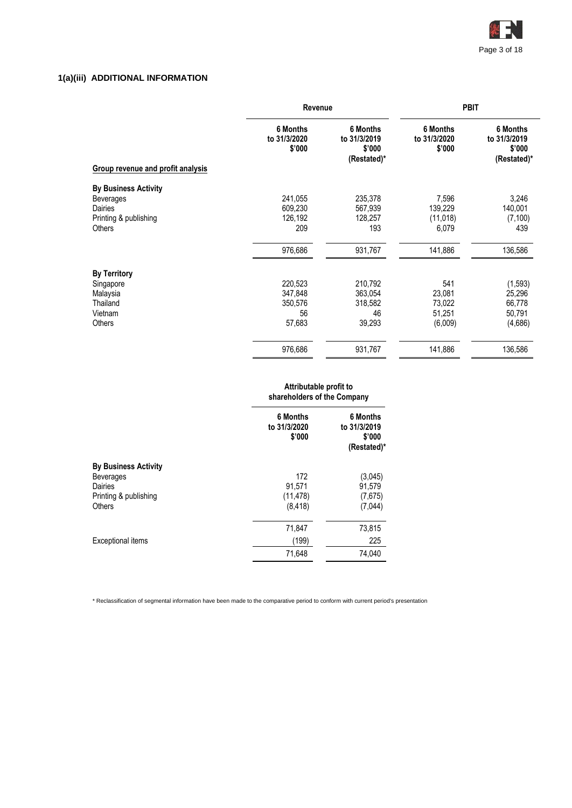

# **1(a)(iii) ADDITIONAL INFORMATION**

|                                          | Revenue                                   |                                                   | <b>PBIT</b>                        |                                                   |  |
|------------------------------------------|-------------------------------------------|---------------------------------------------------|------------------------------------|---------------------------------------------------|--|
| <b>Group revenue and profit analysis</b> | <b>6 Months</b><br>to 31/3/2020<br>\$'000 | 6 Months<br>to 31/3/2019<br>\$'000<br>(Restated)* | 6 Months<br>to 31/3/2020<br>\$'000 | 6 Months<br>to 31/3/2019<br>\$'000<br>(Restated)* |  |
| <b>By Business Activity</b>              |                                           |                                                   |                                    |                                                   |  |
| <b>Beverages</b><br>Dairies              | 241,055<br>609,230                        | 235,378<br>567,939                                | 7,596<br>139,229                   | 3,246<br>140,001                                  |  |
| Printing & publishing<br>Others          | 126,192<br>209                            | 128,257<br>193                                    | (11, 018)<br>6,079                 | (7, 100)<br>439                                   |  |
|                                          | 976,686                                   | 931,767                                           | 141,886                            | 136,586                                           |  |
| <b>By Territory</b>                      |                                           |                                                   |                                    |                                                   |  |
| Singapore                                | 220,523                                   | 210,792                                           | 541                                | (1, 593)                                          |  |
| Malaysia                                 | 347,848                                   | 363,054                                           | 23,081                             | 25,296                                            |  |
| Thailand                                 | 350,576                                   | 318,582                                           | 73,022                             | 66,778                                            |  |
| Vietnam                                  | 56                                        | 46                                                | 51,251                             | 50,791                                            |  |
| Others                                   | 57,683                                    | 39,293                                            | (6,009)                            | (4,686)                                           |  |
|                                          | 976,686                                   | 931,767                                           | 141,886                            | 136,586                                           |  |

#### **Attributable profit to shareholders of the Company**

|                                                                                                      | <b>6 Months</b><br>to 31/3/2020<br>\$'000 | 6 Months<br>to 31/3/2019<br>\$'000<br>(Restated)* |
|------------------------------------------------------------------------------------------------------|-------------------------------------------|---------------------------------------------------|
| <b>By Business Activity</b><br><b>Beverages</b><br>Dairies<br>Printing & publishing<br><b>Others</b> | 172<br>91,571<br>(11, 478)<br>(8, 418)    | (3,045)<br>91,579<br>(7,675)<br>(7,044)           |
| Exceptional items                                                                                    | 71,847<br>(199)<br>71,648                 | 73,815<br>225<br>74,040                           |

\* Reclassification of segmental information have been made to the comparative period to conform with current period's presentation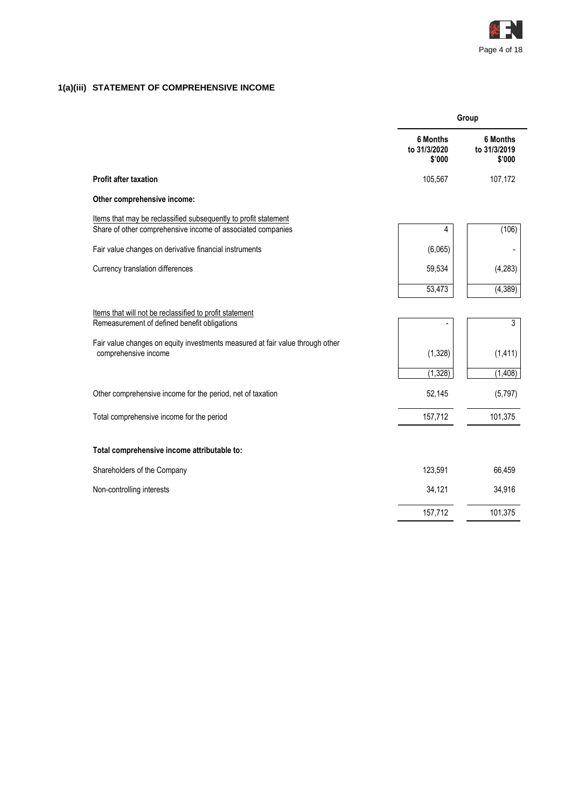

# **1(a)(iii) STATEMENT OF COMPREHENSIVE INCOME**

|                                                                                                                                | Group                              |                                    |  |
|--------------------------------------------------------------------------------------------------------------------------------|------------------------------------|------------------------------------|--|
|                                                                                                                                | 6 Months<br>to 31/3/2020<br>\$'000 | 6 Months<br>to 31/3/2019<br>\$'000 |  |
| <b>Profit after taxation</b>                                                                                                   | 105,567                            | 107,172                            |  |
| Other comprehensive income:                                                                                                    |                                    |                                    |  |
| Items that may be reclassified subsequently to profit statement<br>Share of other comprehensive income of associated companies | 4                                  | (106)                              |  |
| Fair value changes on derivative financial instruments                                                                         | (6,065)                            |                                    |  |
| Currency translation differences                                                                                               | 59,534                             | (4, 283)                           |  |
|                                                                                                                                | 53,473                             | (4, 389)                           |  |
| Items that will not be reclassified to profit statement<br>Remeasurement of defined benefit obligations                        |                                    | 3                                  |  |
| Fair value changes on equity investments measured at fair value through other<br>comprehensive income                          | (1,328)                            | (1, 411)                           |  |
|                                                                                                                                | (1, 328)                           | (1, 408)                           |  |
| Other comprehensive income for the period, net of taxation                                                                     | 52,145                             | (5,797)                            |  |
| Total comprehensive income for the period                                                                                      | 157,712                            | 101,375                            |  |
| Total comprehensive income attributable to:                                                                                    |                                    |                                    |  |
| Shareholders of the Company                                                                                                    | 123,591                            | 66,459                             |  |
| Non-controlling interests                                                                                                      | 34,121                             | 34,916                             |  |
|                                                                                                                                | 157,712                            | 101,375                            |  |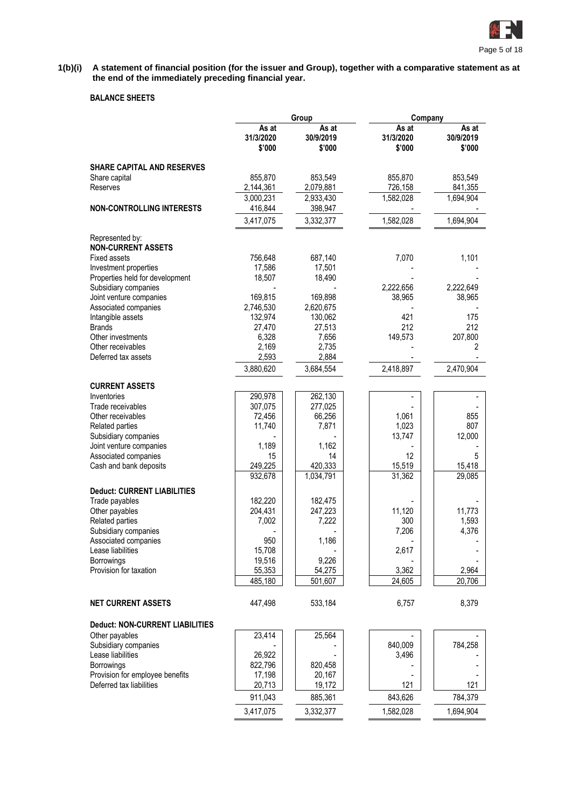

#### **1(b)(i) A statement of financial position (for the issuer and Group), together with a comparative statement as at the end of the immediately preceding financial year.**

# **BALANCE SHEETS**

|                                                 |                              | Group                        | Company                      |                              |  |  |
|-------------------------------------------------|------------------------------|------------------------------|------------------------------|------------------------------|--|--|
|                                                 | As at<br>31/3/2020<br>\$'000 | As at<br>30/9/2019<br>\$'000 | As at<br>31/3/2020<br>\$'000 | As at<br>30/9/2019<br>\$'000 |  |  |
| <b>SHARE CAPITAL AND RESERVES</b>               |                              |                              |                              |                              |  |  |
| Share capital                                   | 855,870                      | 853,549                      | 855,870                      | 853,549                      |  |  |
| Reserves                                        | 2,144,361                    | 2,079,881                    | 726,158                      | 841,355                      |  |  |
|                                                 | 3,000,231                    | 2,933,430                    | 1,582,028                    | 1,694,904                    |  |  |
| <b>NON-CONTROLLING INTERESTS</b>                | 416,844                      | 398,947                      |                              |                              |  |  |
|                                                 | 3,417,075                    | 3,332,377                    | 1,582,028                    | 1,694,904                    |  |  |
| Represented by:                                 |                              |                              |                              |                              |  |  |
| <b>NON-CURRENT ASSETS</b>                       |                              |                              |                              |                              |  |  |
| Fixed assets                                    | 756,648                      | 687,140                      | 7,070                        | 1,101                        |  |  |
| Investment properties                           | 17,586                       | 17,501                       |                              |                              |  |  |
| Properties held for development                 | 18,507                       | 18,490                       |                              |                              |  |  |
| Subsidiary companies                            | 169,815                      | 169,898                      | 2,222,656<br>38,965          | 2,222,649<br>38,965          |  |  |
| Joint venture companies<br>Associated companies | 2,746,530                    | 2,620,675                    |                              |                              |  |  |
| Intangible assets                               | 132,974                      | 130,062                      | 421                          | 175                          |  |  |
| <b>Brands</b>                                   | 27,470                       | 27,513                       | 212                          | 212                          |  |  |
| Other investments                               | 6,328                        | 7,656                        | 149,573                      | 207,800                      |  |  |
| Other receivables                               | 2,169                        | 2,735                        |                              | 2                            |  |  |
| Deferred tax assets                             | 2,593                        | 2,884                        |                              |                              |  |  |
|                                                 | 3,880,620                    | 3,684,554                    | 2,418,897                    | 2,470,904                    |  |  |
| <b>CURRENT ASSETS</b>                           |                              |                              |                              |                              |  |  |
| Inventories                                     | 290,978                      | 262,130                      |                              |                              |  |  |
| Trade receivables                               | 307,075                      | 277,025                      |                              |                              |  |  |
| Other receivables                               | 72,456                       | 66,256                       | 1,061                        | 855                          |  |  |
| Related parties                                 | 11,740                       | 7,871                        | 1,023                        | 807                          |  |  |
| Subsidiary companies                            |                              |                              | 13,747                       | 12,000                       |  |  |
| Joint venture companies                         | 1,189                        | 1,162                        |                              |                              |  |  |
| Associated companies                            | 15                           | 14                           | 12                           | 5                            |  |  |
| Cash and bank deposits                          | 249,225                      | 420,333                      | 15,519                       | 15,418                       |  |  |
|                                                 | 932,678                      | 1,034,791                    | 31,362                       | 29,085                       |  |  |
| <b>Deduct: CURRENT LIABILITIES</b>              |                              |                              |                              |                              |  |  |
| Trade payables                                  | 182,220                      | 182,475                      |                              |                              |  |  |
| Other payables                                  | 204,431                      | 247,223                      | 11,120                       | 11,773                       |  |  |
| Related parties                                 | 7,002                        | 7,222                        | 300                          | 1,593                        |  |  |
| Subsidiary companies                            |                              |                              | 7,206                        | 4,376                        |  |  |
| Associated companies                            | 950                          | 1,186                        |                              |                              |  |  |
| Lease liabilities                               | 15,708                       |                              | 2,617                        |                              |  |  |
| <b>Borrowings</b>                               | 19,516                       | 9,226                        |                              |                              |  |  |
| Provision for taxation                          | 55,353                       | 54,275                       | 3,362                        | 2,964                        |  |  |
|                                                 | 485,180                      | 501,607                      | 24,605                       | 20,706                       |  |  |
| <b>NET CURRENT ASSETS</b>                       | 447,498                      | 533,184                      | 6,757                        | 8,379                        |  |  |
| <b>Deduct: NON-CURRENT LIABILITIES</b>          |                              |                              |                              |                              |  |  |
| Other payables                                  | 23,414                       | 25,564                       |                              |                              |  |  |
| Subsidiary companies                            |                              |                              | 840,009                      | 784,258                      |  |  |
| Lease liabilities                               | 26,922                       |                              | 3,496                        |                              |  |  |
| Borrowings                                      | 822,796                      | 820,458                      |                              |                              |  |  |
| Provision for employee benefits                 | 17,198                       | 20,167                       |                              |                              |  |  |
| Deferred tax liabilities                        | 20,713                       | 19,172                       | 121                          | 121                          |  |  |
|                                                 | 911,043                      | 885,361                      | 843,626                      | 784,379                      |  |  |
|                                                 | 3,417,075                    | 3,332,377                    | 1,582,028                    | 1,694,904                    |  |  |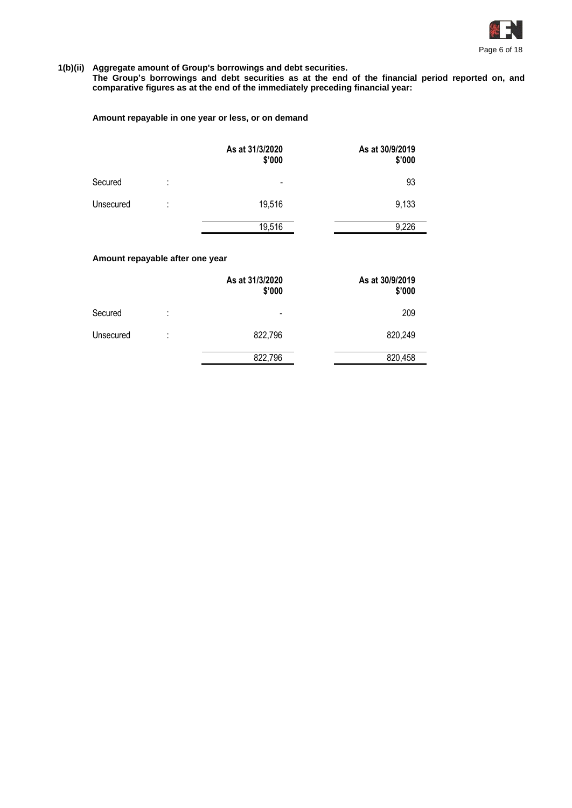

# **1(b)(ii) Aggregate amount of Group's borrowings and debt securities.**

**The Group's borrowings and debt securities as at the end of the financial period reported on, and comparative figures as at the end of the immediately preceding financial year:**

#### **Amount repayable in one year or less, or on demand**

|           |         | As at 31/3/2020<br>\$'000    | As at 30/9/2019<br>\$'000 |
|-----------|---------|------------------------------|---------------------------|
| Secured   | ٠<br>٠. | $\qquad \qquad \blacksquare$ | 93                        |
| Unsecured | ٠<br>٠. | 19,516                       | 9,133                     |
|           |         | 19,516                       | 9,226                     |

# **Amount repayable after one year**

|           |        | As at 31/3/2020<br>\$'000 | As at 30/9/2019<br>\$'000 |
|-----------|--------|---------------------------|---------------------------|
| Secured   | ٠<br>٠ | $\overline{\phantom{0}}$  | 209                       |
| Unsecured | ٠<br>٠ | 822,796                   | 820,249                   |
|           |        | 822,796                   | 820,458                   |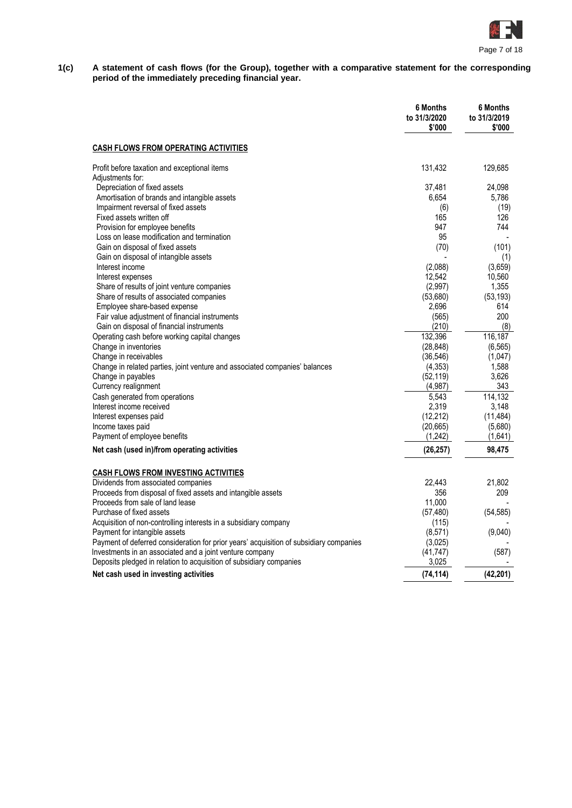

**1(c) A statement of cash flows (for the Group), together with a comparative statement for the corresponding period of the immediately preceding financial year.**

|                                                                                        | <b>6 Months</b><br>to 31/3/2020<br>\$'000 | <b>6 Months</b><br>to 31/3/2019<br>\$'000 |
|----------------------------------------------------------------------------------------|-------------------------------------------|-------------------------------------------|
| <b>CASH FLOWS FROM OPERATING ACTIVITIES</b>                                            |                                           |                                           |
| Profit before taxation and exceptional items                                           | 131,432                                   | 129,685                                   |
| Adjustments for:                                                                       |                                           |                                           |
| Depreciation of fixed assets                                                           | 37,481                                    | 24,098                                    |
| Amortisation of brands and intangible assets                                           | 6,654                                     | 5,786                                     |
| Impairment reversal of fixed assets                                                    | (6)                                       | (19)                                      |
| Fixed assets written off                                                               | 165                                       | 126                                       |
| Provision for employee benefits                                                        | 947<br>95                                 | 744                                       |
| Loss on lease modification and termination                                             |                                           |                                           |
| Gain on disposal of fixed assets                                                       | (70)                                      | (101)                                     |
| Gain on disposal of intangible assets<br>Interest income                               |                                           | (1)                                       |
|                                                                                        | (2,088)                                   | (3,659)                                   |
| Interest expenses<br>Share of results of joint venture companies                       | 12,542<br>(2,997)                         | 10,560<br>1,355                           |
| Share of results of associated companies                                               | (53,680)                                  | (53, 193)                                 |
| Employee share-based expense                                                           | 2,696                                     | 614                                       |
|                                                                                        |                                           | 200                                       |
| Fair value adjustment of financial instruments                                         | (565)                                     | (8)                                       |
| Gain on disposal of financial instruments                                              | (210)<br>132,396                          |                                           |
| Operating cash before working capital changes                                          |                                           | 116,187                                   |
| Change in inventories                                                                  | (28, 848)                                 | (6, 565)                                  |
| Change in receivables                                                                  | (36, 546)                                 | (1,047)                                   |
| Change in related parties, joint venture and associated companies' balances            | (4, 353)<br>(52, 119)                     | 1,588<br>3,626                            |
| Change in payables<br>Currency realignment                                             | (4,987)                                   | 343                                       |
|                                                                                        |                                           |                                           |
| Cash generated from operations<br>Interest income received                             | 5.543                                     | 114.132                                   |
|                                                                                        | 2,319                                     | 3,148                                     |
| Interest expenses paid                                                                 | (12, 212)                                 | (11, 484)                                 |
| Income taxes paid<br>Payment of employee benefits                                      | (20,665)<br>(1,242)                       | (5,680)                                   |
|                                                                                        |                                           | (1,641)                                   |
| Net cash (used in)/from operating activities                                           | (26, 257)                                 | 98,475                                    |
| <b>CASH FLOWS FROM INVESTING ACTIVITIES</b>                                            |                                           |                                           |
| Dividends from associated companies                                                    | 22.443                                    | 21,802                                    |
| Proceeds from disposal of fixed assets and intangible assets                           | 356                                       | 209                                       |
| Proceeds from sale of land lease                                                       | 11.000                                    |                                           |
| Purchase of fixed assets                                                               | (57, 480)                                 | (54, 585)                                 |
| Acquisition of non-controlling interests in a subsidiary company                       | (115)                                     |                                           |
| Payment for intangible assets                                                          | (8, 571)                                  | (9,040)                                   |
| Payment of deferred consideration for prior years' acquisition of subsidiary companies | (3,025)                                   |                                           |
| Investments in an associated and a joint venture company                               | (41, 747)                                 | (587)                                     |
| Deposits pledged in relation to acquisition of subsidiary companies                    | 3,025                                     |                                           |
| Net cash used in investing activities                                                  | (74, 114)                                 | (42, 201)                                 |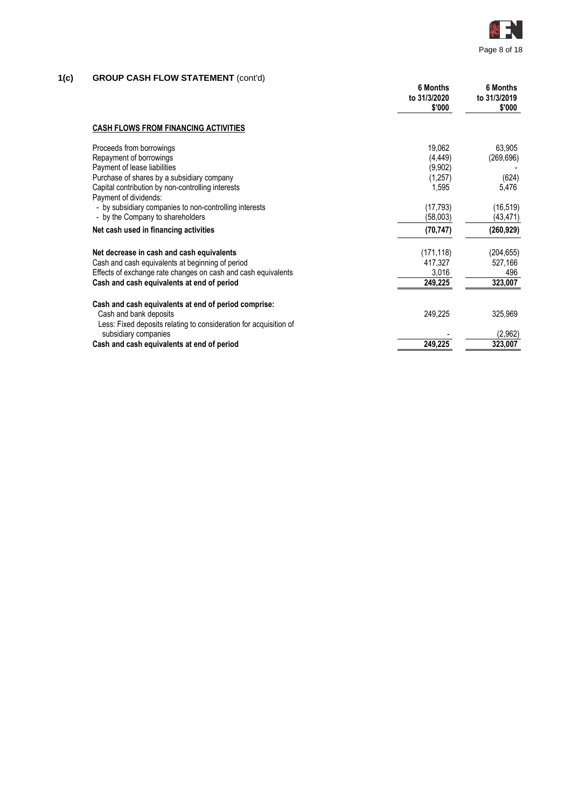

# **1(c) GROUP CASH FLOW STATEMENT** (cont'd)

|                                                                            | <b>6 Months</b><br>to 31/3/2020<br>\$'000 | <b>6 Months</b><br>to 31/3/2019<br>\$'000 |
|----------------------------------------------------------------------------|-------------------------------------------|-------------------------------------------|
| <b>CASH FLOWS FROM FINANCING ACTIVITIES</b>                                |                                           |                                           |
| Proceeds from borrowings                                                   | 19,062                                    | 63,905                                    |
| Repayment of borrowings                                                    | (4, 449)                                  | (269, 696)                                |
| Payment of lease liabilities                                               | (9,902)                                   |                                           |
| Purchase of shares by a subsidiary company                                 | (1,257)                                   | (624)                                     |
| Capital contribution by non-controlling interests<br>Payment of dividends: | 1,595                                     | 5,476                                     |
| - by subsidiary companies to non-controlling interests                     | (17, 793)                                 | (16, 519)                                 |
| - by the Company to shareholders                                           | (58,003)                                  | (43,471)                                  |
| Net cash used in financing activities                                      | (70, 747)                                 | (260, 929)                                |
| Net decrease in cash and cash equivalents                                  | (171, 118)                                | (204, 655)                                |
| Cash and cash equivalents at beginning of period                           | 417,327                                   | 527,166                                   |
| Effects of exchange rate changes on cash and cash equivalents              | 3,016                                     | 496                                       |
| Cash and cash equivalents at end of period                                 | 249,225                                   | 323,007                                   |
| Cash and cash equivalents at end of period comprise:                       |                                           |                                           |
| Cash and bank deposits                                                     | 249,225                                   | 325,969                                   |
| Less: Fixed deposits relating to consideration for acquisition of          |                                           |                                           |
| subsidiary companies                                                       |                                           | (2,962)                                   |
| Cash and cash equivalents at end of period                                 | 249,225                                   | 323,007                                   |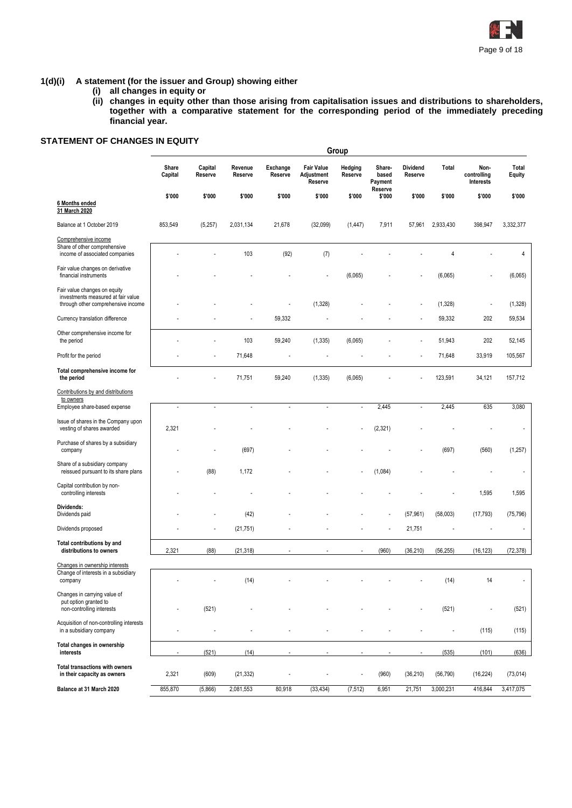

#### **1(d)(i) A statement (for the issuer and Group) showing either**

- **(i) all changes in equity or**
- **(ii) changes in equity other than those arising from capitalisation issues and distributions to shareholders, together with a comparative statement for the corresponding period of the immediately preceding financial year.**

# **STATEMENT OF CHANGES IN EQUITY**

|                                                                                                          |                  |                    |                    |                     |                                            | Group                    |                                       |                            |                |                                  |                 |
|----------------------------------------------------------------------------------------------------------|------------------|--------------------|--------------------|---------------------|--------------------------------------------|--------------------------|---------------------------------------|----------------------------|----------------|----------------------------------|-----------------|
|                                                                                                          | Share<br>Capital | Capital<br>Reserve | Revenue<br>Reserve | Exchange<br>Reserve | <b>Fair Value</b><br>Adjustment<br>Reserve | Hedging<br>Reserve       | Share-<br>based<br>Payment<br>Reserve | <b>Dividend</b><br>Reserve | Total          | Non-<br>controlling<br>Interests | Total<br>Equity |
| 6 Months ended<br>31 March 2020                                                                          | \$'000           | \$'000             | \$'000             | \$'000              | \$'000                                     | \$'000                   | \$'000                                | \$'000                     | \$'000         | \$'000                           | \$'000          |
| Balance at 1 October 2019                                                                                | 853,549          | (5,257)            | 2,031,134          | 21,678              | (32,099)                                   | (1, 447)                 | 7,911                                 | 57,961                     | 2,933,430      | 398,947                          | 3,332,377       |
| Comprehensive income                                                                                     |                  |                    |                    |                     |                                            |                          |                                       |                            |                |                                  |                 |
| Share of other comprehensive<br>income of associated companies                                           |                  |                    | 103                | (92)                | (7)                                        |                          |                                       |                            | 4              |                                  | 4               |
| Fair value changes on derivative<br>financial instruments                                                |                  |                    |                    |                     |                                            | (6,065)                  |                                       |                            | (6,065)        |                                  | (6,065)         |
| Fair value changes on equity<br>investments measured at fair value<br>through other comprehensive income |                  |                    |                    |                     | (1,328)                                    |                          |                                       |                            | (1,328)        | Ĭ.                               | (1,328)         |
| Currency translation difference                                                                          |                  |                    |                    | 59,332              |                                            |                          |                                       |                            | 59,332         | 202                              | 59,534          |
| Other comprehensive income for<br>the period                                                             |                  |                    | 103                | 59,240              | (1, 335)                                   | (6,065)                  |                                       |                            | 51,943         | 202                              | 52,145          |
| Profit for the period                                                                                    |                  |                    | 71,648             |                     |                                            |                          |                                       |                            | 71,648         | 33,919                           | 105,567         |
| Total comprehensive income for<br>the period                                                             |                  |                    | 71,751             | 59,240              | (1, 335)                                   | (6,065)                  |                                       |                            | 123,591        | 34,121                           | 157,712         |
| Contributions by and distributions<br>to owners                                                          |                  |                    |                    |                     |                                            |                          |                                       |                            |                |                                  |                 |
| Employee share-based expense                                                                             | $\bar{z}$        | $\overline{a}$     | $\sim$             | $\overline{a}$      | $\overline{a}$                             | $\overline{a}$           | 2,445                                 | $\overline{a}$             | 2,445          | 635                              | 3,080           |
| Issue of shares in the Company upon<br>vesting of shares awarded                                         | 2,321            |                    |                    |                     |                                            |                          | (2, 321)                              |                            |                |                                  |                 |
| Purchase of shares by a subsidiary<br>company                                                            |                  |                    | (697)              |                     |                                            |                          |                                       |                            | (697)          | (560)                            | (1, 257)        |
| Share of a subsidiary company<br>reissued pursuant to its share plans                                    |                  | (88)               | 1,172              |                     |                                            |                          | (1,084)                               |                            |                |                                  |                 |
| Capital contribution by non-<br>controlling interests                                                    |                  |                    |                    |                     |                                            |                          |                                       |                            |                | 1,595                            | 1,595           |
| Dividends:<br>Dividends paid                                                                             |                  |                    | (42)               |                     |                                            |                          |                                       | (57, 961)                  | (58,003)       | (17, 793)                        | (75, 796)       |
| Dividends proposed                                                                                       |                  |                    | (21, 751)          |                     |                                            |                          |                                       | 21,751                     |                |                                  |                 |
| Total contributions by and<br>distributions to owners                                                    | 2,321            | (88)               | (21, 318)          |                     |                                            | $\overline{\phantom{a}}$ | (960)                                 | (36, 210)                  | (56, 255)      | (16, 123)                        | (72, 378)       |
| Changes in ownership interests<br>Change of interests in a subsidiary<br>company                         |                  |                    | (14)               |                     |                                            |                          |                                       |                            | (14)           | 14                               |                 |
| Changes in carrying value of<br>put option granted to<br>non-controlling interests                       |                  | (521)              |                    |                     |                                            |                          |                                       |                            | (521)          | Ĭ.                               | (521)           |
| Acquisition of non-controlling interests<br>in a subsidiary company                                      |                  |                    |                    |                     |                                            |                          |                                       |                            | $\blacksquare$ | (115)                            | (115)           |
| Total changes in ownership<br>interests                                                                  |                  | (521)              | (14)               |                     |                                            |                          |                                       |                            | (535)          | (101)                            | (636)           |
| Total transactions with owners<br>in their capacity as owners                                            | 2,321            | (609)              | (21, 332)          |                     |                                            | ÷,                       | (960)                                 | (36, 210)                  | (56, 790)      | (16, 224)                        | (73, 014)       |
| Balance at 31 March 2020                                                                                 | 855,870          | (5,866)            | 2,081,553          | 80,918              | (33, 434)                                  | (7, 512)                 | 6,951                                 | 21,751                     | 3,000,231      | 416,844                          | 3,417,075       |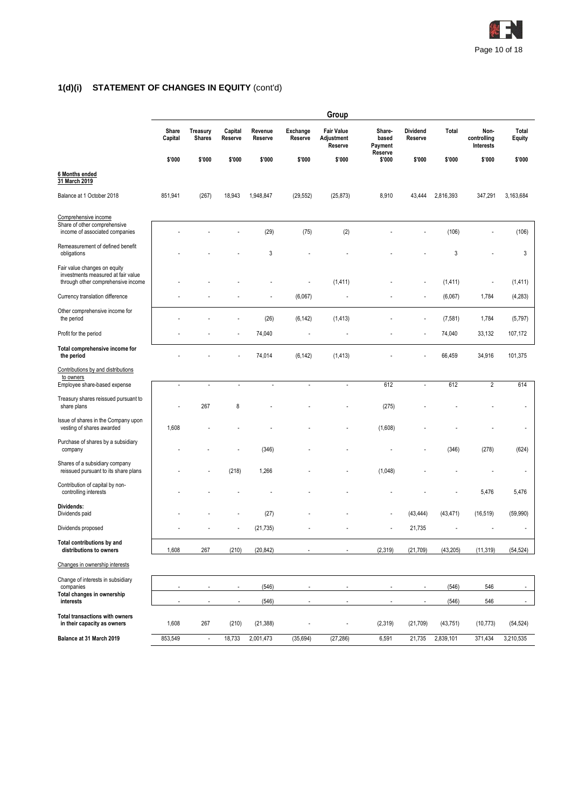

# **1(d)(i) STATEMENT OF CHANGES IN EQUITY** (cont'd)

|                                                                                                          |                  |                                  |                                                      |                    |                          | Group                                      |                                       |                                                      |                |                                  |                 |  |
|----------------------------------------------------------------------------------------------------------|------------------|----------------------------------|------------------------------------------------------|--------------------|--------------------------|--------------------------------------------|---------------------------------------|------------------------------------------------------|----------------|----------------------------------|-----------------|--|
|                                                                                                          | Share<br>Capital | <b>Treasury</b><br><b>Shares</b> | Capital<br>Reserve                                   | Revenue<br>Reserve | Exchange<br>Reserve      | <b>Fair Value</b><br>Adjustment<br>Reserve | Share-<br>based<br>Payment<br>Reserve | <b>Dividend</b><br>Reserve                           | Total          | Non-<br>controlling<br>Interests | Total<br>Equity |  |
|                                                                                                          | \$'000           | \$'000                           | \$'000                                               | \$'000             | \$'000                   | \$'000                                     | \$'000                                | \$'000                                               | \$'000         | \$'000                           | \$'000          |  |
| 6 Months ended<br>31 March 2019                                                                          |                  |                                  |                                                      |                    |                          |                                            |                                       |                                                      |                |                                  |                 |  |
| Balance at 1 October 2018                                                                                | 851,941          | (267)                            | 18,943                                               | 1,948,847          | (29, 552)                | (25, 873)                                  | 8,910                                 | 43,444                                               | 2,816,393      | 347,291                          | 3,163,684       |  |
| Comprehensive income                                                                                     |                  |                                  |                                                      |                    |                          |                                            |                                       |                                                      |                |                                  |                 |  |
| Share of other comprehensive<br>income of associated companies                                           |                  |                                  |                                                      | (29)               | (75)                     | (2)                                        |                                       |                                                      | (106)          |                                  | (106)           |  |
| Remeasurement of defined benefit<br>obligations                                                          |                  |                                  |                                                      | 3                  |                          |                                            |                                       |                                                      | 3              |                                  | 3               |  |
| Fair value changes on equity<br>investments measured at fair value<br>through other comprehensive income |                  |                                  |                                                      |                    |                          | (1, 411)                                   |                                       |                                                      | (1, 411)       | ÷,                               | (1, 411)        |  |
| Currency translation difference                                                                          |                  |                                  |                                                      |                    | (6,067)                  |                                            |                                       |                                                      | (6,067)        | 1,784                            | (4,283)         |  |
| Other comprehensive income for<br>the period                                                             |                  |                                  |                                                      | (26)               | (6, 142)                 | (1, 413)                                   |                                       |                                                      | (7, 581)       | 1,784                            | (5,797)         |  |
| Profit for the period                                                                                    |                  |                                  | Ĭ.                                                   | 74,040             | $\overline{\phantom{a}}$ | ÷,                                         |                                       |                                                      | 74,040         | 33,132                           | 107,172         |  |
| Total comprehensive income for<br>the period                                                             |                  |                                  |                                                      | 74,014             | (6, 142)                 | (1, 413)                                   |                                       |                                                      | 66,459         | 34,916                           | 101,375         |  |
| Contributions by and distributions                                                                       |                  |                                  |                                                      |                    |                          |                                            |                                       |                                                      |                |                                  |                 |  |
| to owners<br>Employee share-based expense                                                                | $\overline{a}$   |                                  | ÷,                                                   |                    | ÷,                       | L,                                         | 612                                   | $\overline{a}$                                       | 612            | $\overline{2}$                   | 614             |  |
| Treasury shares reissued pursuant to<br>share plans                                                      |                  | 267                              | 8                                                    |                    |                          |                                            | (275)                                 |                                                      |                |                                  |                 |  |
| Issue of shares in the Company upon<br>vesting of shares awarded                                         | 1,608            |                                  |                                                      |                    |                          |                                            | (1,608)                               |                                                      |                |                                  |                 |  |
| Purchase of shares by a subsidiary<br>company                                                            |                  |                                  |                                                      | (346)              |                          |                                            |                                       |                                                      | (346)          | (278)                            | (624)           |  |
| Shares of a subsidiary company<br>reissued pursuant to its share plans                                   |                  |                                  | (218)                                                | 1,266              |                          |                                            | (1,048)                               |                                                      |                |                                  |                 |  |
| Contribution of capital by non-<br>controlling interests                                                 |                  |                                  |                                                      |                    |                          |                                            |                                       |                                                      |                | 5,476                            | 5,476           |  |
| Dividends:<br>Dividends paid                                                                             |                  |                                  |                                                      | (27)               |                          |                                            |                                       | (43, 444)                                            | (43, 471)      | (16, 519)                        | (59,990)        |  |
| Dividends proposed                                                                                       |                  |                                  |                                                      | (21, 735)          |                          |                                            |                                       | 21,735                                               |                |                                  |                 |  |
| Total contributions by and<br>distributions to owners                                                    | 1,608            | 267                              | (210)                                                | (20, 842)          |                          |                                            | (2,319)                               | (21, 709)                                            | (43, 205)      | (11, 319)                        | (54, 524)       |  |
| Changes in ownership interests                                                                           |                  |                                  |                                                      |                    |                          |                                            |                                       |                                                      |                |                                  |                 |  |
| Change of interests in subsidiary<br>companies                                                           |                  |                                  |                                                      |                    |                          |                                            |                                       |                                                      |                |                                  | ÷               |  |
| Total changes in ownership<br>interests                                                                  | ÷,               |                                  | $\overline{\phantom{a}}$<br>$\overline{\phantom{a}}$ | (546)<br>(546)     |                          | $\blacksquare$                             | ÷,                                    | $\overline{\phantom{a}}$<br>$\overline{\phantom{a}}$ | (546)<br>(546) | 546<br>546                       | ۰               |  |
| <b>Total transactions with owners</b><br>in their capacity as owners                                     | 1,608            | 267                              | (210)                                                | (21, 388)          |                          | ÷,                                         | (2,319)                               | (21, 709)                                            | (43, 751)      | (10, 773)                        | (54, 524)       |  |
| Balance at 31 March 2019                                                                                 | 853,549          | $\overline{\phantom{a}}$         | 18,733                                               | 2,001,473          | (35, 694)                | (27, 286)                                  | 6,591                                 | 21,735                                               | 2,839,101      | 371,434                          | 3,210,535       |  |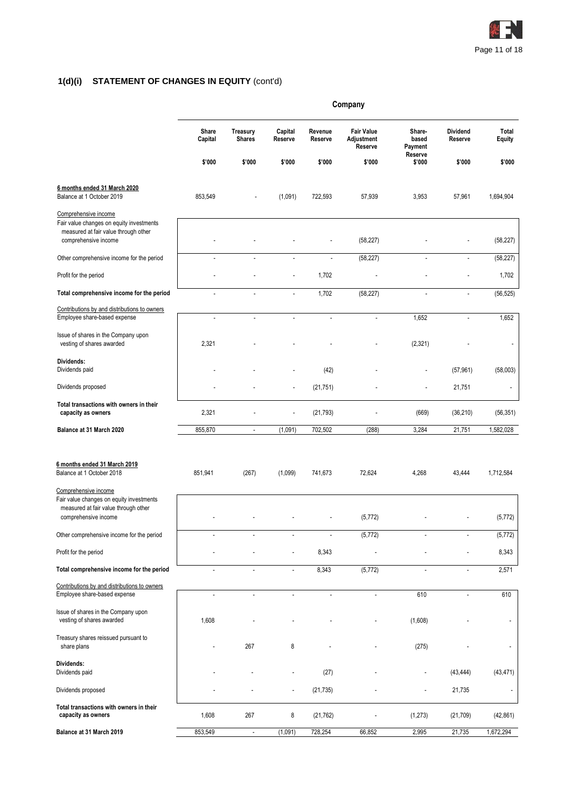

# **1(d)(i) STATEMENT OF CHANGES IN EQUITY** (cont'd)

|                                                                                                                                  | Company              |                                  |                          |                    |                                            |                            |                            |                          |
|----------------------------------------------------------------------------------------------------------------------------------|----------------------|----------------------------------|--------------------------|--------------------|--------------------------------------------|----------------------------|----------------------------|--------------------------|
|                                                                                                                                  | Share<br>Capital     | <b>Treasury</b><br><b>Shares</b> | Capital<br>Reserve       | Revenue<br>Reserve | <b>Fair Value</b><br>Adjustment<br>Reserve | Share-<br>based<br>Payment | <b>Dividend</b><br>Reserve | Total<br>Equity          |
|                                                                                                                                  | \$'000               | \$'000                           | \$'000                   | \$'000             | \$'000                                     | Reserve<br>\$'000          | \$'000                     | \$'000                   |
| 6 months ended 31 March 2020<br>Balance at 1 October 2019                                                                        | 853,549              |                                  | (1,091)                  | 722,593            | 57,939                                     | 3,953                      | 57,961                     | 1,694,904                |
| Comprehensive income<br>Fair value changes on equity investments<br>measured at fair value through other<br>comprehensive income |                      |                                  |                          |                    | (58, 227)                                  |                            |                            | (58, 227)                |
| Other comprehensive income for the period                                                                                        |                      |                                  | ÷,                       | Ĭ.                 | (58, 227)                                  |                            | ÷,                         | (58, 227)                |
| Profit for the period                                                                                                            |                      |                                  |                          | 1,702              |                                            |                            |                            | 1,702                    |
| Total comprehensive income for the period                                                                                        |                      |                                  | ÷                        | 1,702              | (58, 227)                                  | ä,                         | ÷,                         | (56, 525)                |
| Contributions by and distributions to owners<br>Employee share-based expense                                                     | $\overline{a}$       | $\blacksquare$                   | $\sim$                   | $\blacksquare$     | $\overline{a}$                             | 1,652                      | ÷,                         | 1,652                    |
| Issue of shares in the Company upon<br>vesting of shares awarded                                                                 | 2,321                |                                  |                          |                    |                                            | (2,321)                    |                            |                          |
| Dividends:<br>Dividends paid                                                                                                     |                      |                                  |                          | (42)               |                                            | L,                         | (57, 961)                  | (58,003)                 |
| Dividends proposed                                                                                                               |                      |                                  | $\overline{a}$           | (21, 751)          |                                            |                            | 21,751                     | $\overline{\phantom{a}}$ |
| Total transactions with owners in their<br>capacity as owners                                                                    | 2,321                |                                  |                          | (21, 793)          |                                            | (669)                      | (36, 210)                  | (56, 351)                |
| Balance at 31 March 2020                                                                                                         | 855,870              | $\blacksquare$                   | (1,091)                  | 702,502            | (288)                                      | 3,284                      | 21,751                     | 1,582,028                |
| 6 months ended 31 March 2019<br>Balance at 1 October 2018<br>Comprehensive income                                                | 851,941              | (267)                            | (1,099)                  | 741.673            | 72,624                                     | 4,268                      | 43,444                     | 1,712,584                |
| Fair value changes on equity investments<br>measured at fair value through other<br>comprehensive income                         |                      |                                  |                          |                    | (5, 772)                                   |                            |                            | (5, 772)                 |
| Other comprehensive income for the period                                                                                        | $\overline{a}$       |                                  | $\overline{\phantom{a}}$ |                    | (5, 772)                                   |                            |                            | (5, 772)                 |
| Profit for the period                                                                                                            |                      |                                  |                          | 8,343              |                                            |                            |                            | 8,343                    |
| Total comprehensive income for the period                                                                                        | L,                   | $\sim$                           | ÷,                       | 8,343              | (5, 772)                                   | $\overline{\phantom{a}}$   | $\overline{a}$             | 2,571                    |
| Contributions by and distributions to owners<br>Employee share-based expense                                                     | $\ddot{\phantom{a}}$ | $\overline{\phantom{a}}$         | L.                       | ÷.                 |                                            | 610                        | ÷,                         | 610                      |
| Issue of shares in the Company upon<br>vesting of shares awarded                                                                 | 1,608                |                                  |                          |                    |                                            | (1,608)                    |                            |                          |
| Treasury shares reissued pursuant to<br>share plans                                                                              |                      | 267                              | 8                        |                    |                                            | (275)                      |                            |                          |
| Dividends:<br>Dividends paid                                                                                                     |                      |                                  |                          | (27)               |                                            |                            | (43, 444)                  | (43, 471)                |
| Dividends proposed                                                                                                               |                      |                                  | $\overline{a}$           | (21, 735)          |                                            |                            | 21,735                     |                          |
| Total transactions with owners in their<br>capacity as owners                                                                    | 1,608                | 267                              | 8                        | (21, 762)          |                                            | (1, 273)                   | (21, 709)                  | (42, 861)                |
| Balance at 31 March 2019                                                                                                         | 853,549              | $\overline{\phantom{a}}$         | (1,091)                  | 728,254            | 66,852                                     | 2,995                      | 21,735                     | 1,672,294                |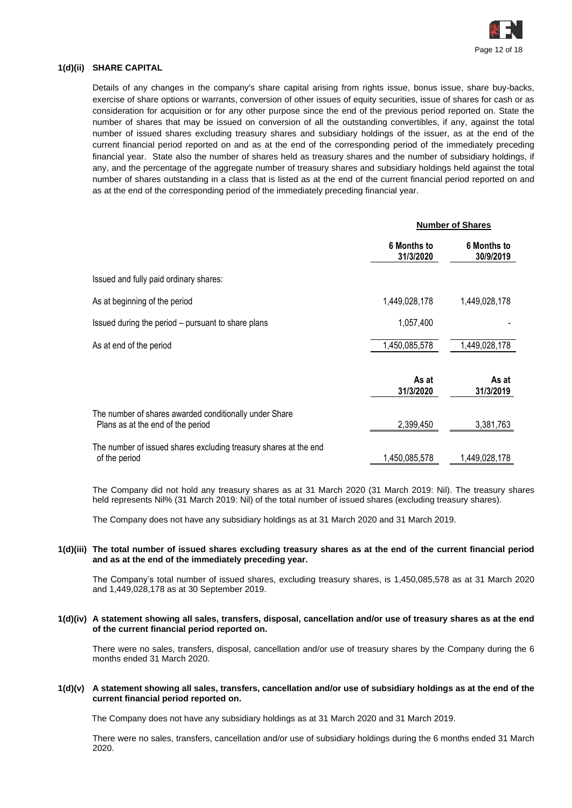

### **1(d)(ii) SHARE CAPITAL**

Details of any changes in the company's share capital arising from rights issue, bonus issue, share buy-backs, exercise of share options or warrants, conversion of other issues of equity securities, issue of shares for cash or as consideration for acquisition or for any other purpose since the end of the previous period reported on. State the number of shares that may be issued on conversion of all the outstanding convertibles, if any, against the total number of issued shares excluding treasury shares and subsidiary holdings of the issuer, as at the end of the current financial period reported on and as at the end of the corresponding period of the immediately preceding financial year. State also the number of shares held as treasury shares and the number of subsidiary holdings, if any, and the percentage of the aggregate number of treasury shares and subsidiary holdings held against the total number of shares outstanding in a class that is listed as at the end of the current financial period reported on and as at the end of the corresponding period of the immediately preceding financial year.

|                                                                                             | <b>Number of Shares</b>  |                                 |  |
|---------------------------------------------------------------------------------------------|--------------------------|---------------------------------|--|
|                                                                                             | 6 Months to<br>31/3/2020 | <b>6 Months to</b><br>30/9/2019 |  |
| Issued and fully paid ordinary shares:                                                      |                          |                                 |  |
| As at beginning of the period                                                               | 1,449,028,178            | 1,449,028,178                   |  |
| Issued during the period - pursuant to share plans                                          | 1,057,400                |                                 |  |
| As at end of the period                                                                     | 1,450,085,578            | 1,449,028,178                   |  |
|                                                                                             | As at<br>31/3/2020       | As at<br>31/3/2019              |  |
| The number of shares awarded conditionally under Share<br>Plans as at the end of the period | 2,399,450                | 3,381,763                       |  |
| The number of issued shares excluding treasury shares at the end<br>of the period           | 1,450,085,578            | 1,449,028,178                   |  |

The Company did not hold any treasury shares as at 31 March 2020 (31 March 2019: Nil). The treasury shares held represents Nil% (31 March 2019: Nil) of the total number of issued shares (excluding treasury shares).

The Company does not have any subsidiary holdings as at 31 March 2020 and 31 March 2019.

#### **1(d)(iii) The total number of issued shares excluding treasury shares as at the end of the current financial period and as at the end of the immediately preceding year.**

The Company's total number of issued shares, excluding treasury shares, is 1,450,085,578 as at 31 March 2020 and 1,449,028,178 as at 30 September 2019.

**1(d)(iv) A statement showing all sales, transfers, disposal, cancellation and/or use of treasury shares as at the end of the current financial period reported on.**

There were no sales, transfers, disposal, cancellation and/or use of treasury shares by the Company during the 6 months ended 31 March 2020.

#### **1(d)(v) A statement showing all sales, transfers, cancellation and/or use of subsidiary holdings as at the end of the current financial period reported on.**

The Company does not have any subsidiary holdings as at 31 March 2020 and 31 March 2019.

There were no sales, transfers, cancellation and/or use of subsidiary holdings during the 6 months ended 31 March 2020.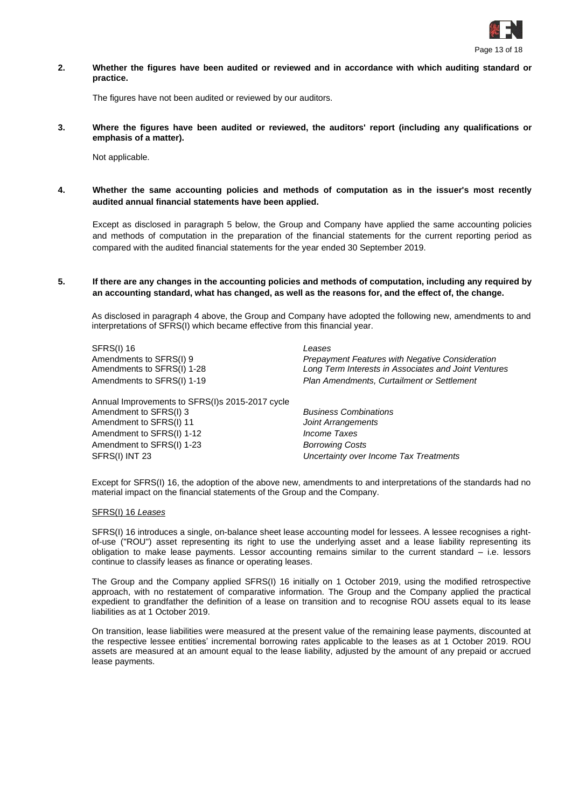

**2. Whether the figures have been audited or reviewed and in accordance with which auditing standard or practice.**

The figures have not been audited or reviewed by our auditors.

**3. Where the figures have been audited or reviewed, the auditors' report (including any qualifications or emphasis of a matter).**

Not applicable.

**4. Whether the same accounting policies and methods of computation as in the issuer's most recently audited annual financial statements have been applied.**

Except as disclosed in paragraph 5 below, the Group and Company have applied the same accounting policies and methods of computation in the preparation of the financial statements for the current reporting period as compared with the audited financial statements for the year ended 30 September 2019.

**5. If there are any changes in the accounting policies and methods of computation, including any required by an accounting standard, what has changed, as well as the reasons for, and the effect of, the change.**

As disclosed in paragraph 4 above, the Group and Company have adopted the following new, amendments to and interpretations of SFRS(I) which became effective from this financial year.

SFRS(I) 16 *Leases*

Annual Improvements to SFRS(I)s 2015-2017 cycle Amendment to SFRS(I) 3 *Business Combinations* Amendment to SFRS(I) 11 *Joint Arrangements* Amendment to SFRS(I) 1-12 *Income Taxes* Amendment to SFRS(I) 1-23 *Borrowing Costs* SFRS(I) INT 23 *Uncertainty over Income Tax Treatments*

Amendments to SFRS(I) 9 *Prepayment Features with Negative Consideration* Amendments to SFRS(I) 1-28 *Long Term Interests in Associates and Joint Ventures* Amendments to SFRS(I) 1-19 *Plan Amendments, Curtailment or Settlement*

Except for SFRS(I) 16, the adoption of the above new, amendments to and interpretations of the standards had no material impact on the financial statements of the Group and the Company.

#### SFRS(I) 16 *Leases*

SFRS(I) 16 introduces a single, on-balance sheet lease accounting model for lessees. A lessee recognises a rightof-use ("ROU") asset representing its right to use the underlying asset and a lease liability representing its obligation to make lease payments. Lessor accounting remains similar to the current standard – i.e. lessors continue to classify leases as finance or operating leases.

The Group and the Company applied SFRS(I) 16 initially on 1 October 2019, using the modified retrospective approach, with no restatement of comparative information. The Group and the Company applied the practical expedient to grandfather the definition of a lease on transition and to recognise ROU assets equal to its lease liabilities as at 1 October 2019.

On transition, lease liabilities were measured at the present value of the remaining lease payments, discounted at the respective lessee entities' incremental borrowing rates applicable to the leases as at 1 October 2019. ROU assets are measured at an amount equal to the lease liability, adjusted by the amount of any prepaid or accrued lease payments.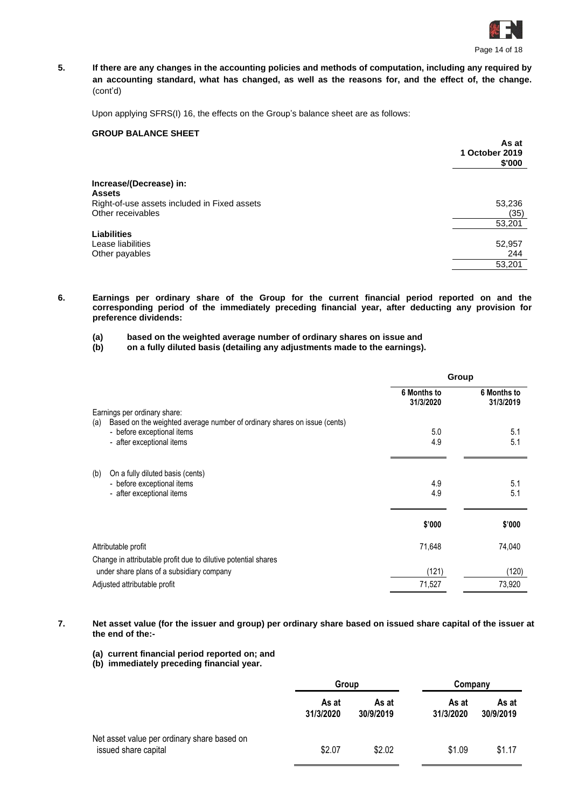

**5. If there are any changes in the accounting policies and methods of computation, including any required by an accounting standard, what has changed, as well as the reasons for, and the effect of, the change.** (cont'd)

Upon applying SFRS(I) 16, the effects on the Group's balance sheet are as follows:

# **GROUP BALANCE SHEET**

|                                              | As at<br>1 October 2019<br>\$'000 |
|----------------------------------------------|-----------------------------------|
| Increase/(Decrease) in:                      |                                   |
| <b>Assets</b>                                |                                   |
| Right-of-use assets included in Fixed assets | 53,236                            |
| Other receivables                            | (35)                              |
|                                              | 53,201                            |
| <b>Liabilities</b>                           |                                   |
| Lease liabilities                            | 52,957                            |
| Other payables                               | 244                               |
|                                              | 53,201                            |
|                                              |                                   |

- **6. Earnings per ordinary share of the Group for the current financial period reported on and the corresponding period of the immediately preceding financial year, after deducting any provision for preference dividends:**
	- **(a) based on the weighted average number of ordinary shares on issue and**

**(b) on a fully diluted basis (detailing any adjustments made to the earnings).**

|                                                                                 | Group                    |                          |  |
|---------------------------------------------------------------------------------|--------------------------|--------------------------|--|
| Earnings per ordinary share:                                                    | 6 Months to<br>31/3/2020 | 6 Months to<br>31/3/2019 |  |
| Based on the weighted average number of ordinary shares on issue (cents)<br>(a) |                          |                          |  |
| - before exceptional items                                                      | 5.0                      | 5.1                      |  |
| - after exceptional items                                                       | 4.9                      | 5.1                      |  |
| (b)<br>On a fully diluted basis (cents)                                         |                          |                          |  |
| - before exceptional items                                                      | 4.9                      | 5.1                      |  |
| - after exceptional items                                                       | 4.9                      | 5.1                      |  |
|                                                                                 | \$'000                   | \$'000                   |  |
| Attributable profit                                                             | 71,648                   | 74,040                   |  |
| Change in attributable profit due to dilutive potential shares                  |                          |                          |  |
| under share plans of a subsidiary company                                       | (121)                    | (120)                    |  |
| Adjusted attributable profit                                                    | 71,527                   | 73,920                   |  |

**7. Net asset value (for the issuer and group) per ordinary share based on issued share capital of the issuer at the end of the:-**

**(a) current financial period reported on; and**

**(b) immediately preceding financial year.**

|                                                                     | Group              |                    | Company            |                    |
|---------------------------------------------------------------------|--------------------|--------------------|--------------------|--------------------|
|                                                                     | As at<br>31/3/2020 | As at<br>30/9/2019 | As at<br>31/3/2020 | As at<br>30/9/2019 |
| Net asset value per ordinary share based on<br>issued share capital | \$2.07             | \$2.02             | \$1.09             | \$1.17             |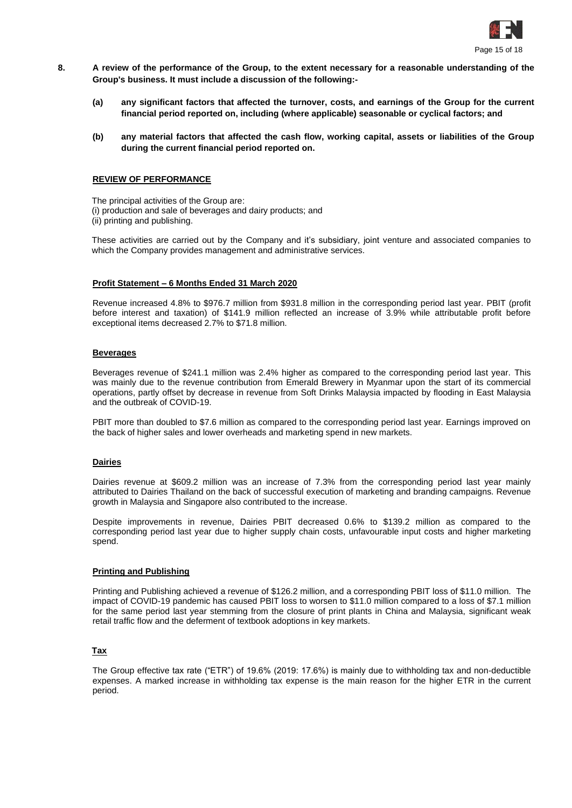

- **8. A review of the performance of the Group, to the extent necessary for a reasonable understanding of the Group's business. It must include a discussion of the following:-**
	- **(a) any significant factors that affected the turnover, costs, and earnings of the Group for the current financial period reported on, including (where applicable) seasonable or cyclical factors; and**
	- **(b) any material factors that affected the cash flow, working capital, assets or liabilities of the Group during the current financial period reported on.**

#### **REVIEW OF PERFORMANCE**

The principal activities of the Group are: (i) production and sale of beverages and dairy products; and (ii) printing and publishing.

These activities are carried out by the Company and it's subsidiary, joint venture and associated companies to which the Company provides management and administrative services.

#### **Profit Statement – 6 Months Ended 31 March 2020**

Revenue increased 4.8% to \$976.7 million from \$931.8 million in the corresponding period last year. PBIT (profit before interest and taxation) of \$141.9 million reflected an increase of 3.9% while attributable profit before exceptional items decreased 2.7% to \$71.8 million.

#### **Beverages**

Beverages revenue of \$241.1 million was 2.4% higher as compared to the corresponding period last year. This was mainly due to the revenue contribution from Emerald Brewery in Myanmar upon the start of its commercial operations, partly offset by decrease in revenue from Soft Drinks Malaysia impacted by flooding in East Malaysia and the outbreak of COVID-19.

PBIT more than doubled to \$7.6 million as compared to the corresponding period last year. Earnings improved on the back of higher sales and lower overheads and marketing spend in new markets.

#### **Dairies**

Dairies revenue at \$609.2 million was an increase of 7.3% from the corresponding period last year mainly attributed to Dairies Thailand on the back of successful execution of marketing and branding campaigns. Revenue growth in Malaysia and Singapore also contributed to the increase.

Despite improvements in revenue, Dairies PBIT decreased 0.6% to \$139.2 million as compared to the corresponding period last year due to higher supply chain costs, unfavourable input costs and higher marketing spend.

#### **Printing and Publishing**

Printing and Publishing achieved a revenue of \$126.2 million, and a corresponding PBIT loss of \$11.0 million. The impact of COVID-19 pandemic has caused PBIT loss to worsen to \$11.0 million compared to a loss of \$7.1 million for the same period last year stemming from the closure of print plants in China and Malaysia, significant weak retail traffic flow and the deferment of textbook adoptions in key markets.

#### **Tax**

The Group effective tax rate ("ETR") of 19.6% (2019: 17.6%) is mainly due to withholding tax and non-deductible expenses. A marked increase in withholding tax expense is the main reason for the higher ETR in the current period.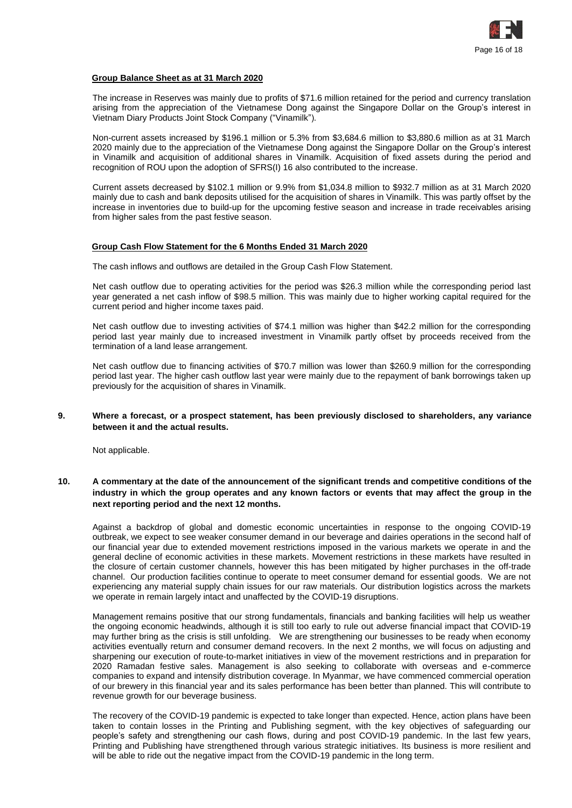

#### **Group Balance Sheet as at 31 March 2020**

The increase in Reserves was mainly due to profits of \$71.6 million retained for the period and currency translation arising from the appreciation of the Vietnamese Dong against the Singapore Dollar on the Group's interest in Vietnam Diary Products Joint Stock Company ("Vinamilk").

Non-current assets increased by \$196.1 million or 5.3% from \$3,684.6 million to \$3,880.6 million as at 31 March 2020 mainly due to the appreciation of the Vietnamese Dong against the Singapore Dollar on the Group's interest in Vinamilk and acquisition of additional shares in Vinamilk. Acquisition of fixed assets during the period and recognition of ROU upon the adoption of SFRS(I) 16 also contributed to the increase.

Current assets decreased by \$102.1 million or 9.9% from \$1,034.8 million to \$932.7 million as at 31 March 2020 mainly due to cash and bank deposits utilised for the acquisition of shares in Vinamilk. This was partly offset by the increase in inventories due to build-up for the upcoming festive season and increase in trade receivables arising from higher sales from the past festive season.

#### **Group Cash Flow Statement for the 6 Months Ended 31 March 2020**

The cash inflows and outflows are detailed in the Group Cash Flow Statement.

Net cash outflow due to operating activities for the period was \$26.3 million while the corresponding period last year generated a net cash inflow of \$98.5 million. This was mainly due to higher working capital required for the current period and higher income taxes paid.

Net cash outflow due to investing activities of \$74.1 million was higher than \$42.2 million for the corresponding period last year mainly due to increased investment in Vinamilk partly offset by proceeds received from the termination of a land lease arrangement.

Net cash outflow due to financing activities of \$70.7 million was lower than \$260.9 million for the corresponding period last year. The higher cash outflow last year were mainly due to the repayment of bank borrowings taken up previously for the acquisition of shares in Vinamilk.

#### **9. Where a forecast, or a prospect statement, has been previously disclosed to shareholders, any variance between it and the actual results.**

Not applicable.

### **10. A commentary at the date of the announcement of the significant trends and competitive conditions of the industry in which the group operates and any known factors or events that may affect the group in the next reporting period and the next 12 months.**

Against a backdrop of global and domestic economic uncertainties in response to the ongoing COVID-19 outbreak, we expect to see weaker consumer demand in our beverage and dairies operations in the second half of our financial year due to extended movement restrictions imposed in the various markets we operate in and the general decline of economic activities in these markets. Movement restrictions in these markets have resulted in the closure of certain customer channels, however this has been mitigated by higher purchases in the off-trade channel. Our production facilities continue to operate to meet consumer demand for essential goods. We are not experiencing any material supply chain issues for our raw materials. Our distribution logistics across the markets we operate in remain largely intact and unaffected by the COVID-19 disruptions.

Management remains positive that our strong fundamentals, financials and banking facilities will help us weather the ongoing economic headwinds, although it is still too early to rule out adverse financial impact that COVID-19 may further bring as the crisis is still unfolding. We are strengthening our businesses to be ready when economy activities eventually return and consumer demand recovers. In the next 2 months, we will focus on adjusting and sharpening our execution of route-to-market initiatives in view of the movement restrictions and in preparation for 2020 Ramadan festive sales. Management is also seeking to collaborate with overseas and e-commerce companies to expand and intensify distribution coverage. In Myanmar, we have commenced commercial operation of our brewery in this financial year and its sales performance has been better than planned. This will contribute to revenue growth for our beverage business.

The recovery of the COVID-19 pandemic is expected to take longer than expected. Hence, action plans have been taken to contain losses in the Printing and Publishing segment, with the key objectives of safeguarding our people's safety and strengthening our cash flows, during and post COVID-19 pandemic. In the last few years, Printing and Publishing have strengthened through various strategic initiatives. Its business is more resilient and will be able to ride out the negative impact from the COVID-19 pandemic in the long term.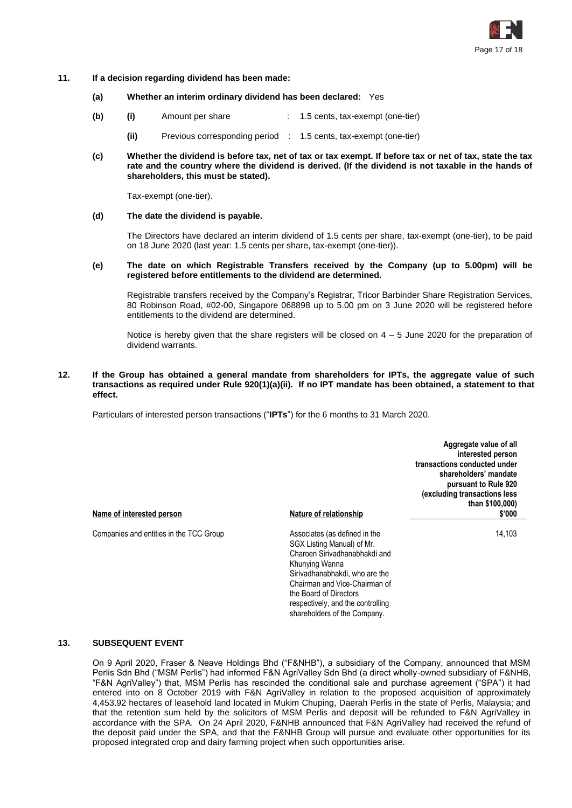

- **11. If a decision regarding dividend has been made:**
	- **(a) Whether an interim ordinary dividend has been declared:** Yes
	- **(b) (i)** Amount per share : 1.5 cents, tax-exempt (one-tier)
		- **(ii)** Previous corresponding period : 1.5 cents, tax-exempt (one-tier)
	- **(c) Whether the dividend is before tax, net of tax or tax exempt. If before tax or net of tax, state the tax rate and the country where the dividend is derived. (If the dividend is not taxable in the hands of shareholders, this must be stated).**

Tax-exempt (one-tier).

**(d) The date the dividend is payable.**

The Directors have declared an interim dividend of 1.5 cents per share, tax-exempt (one-tier), to be paid on 18 June 2020 (last year: 1.5 cents per share, tax-exempt (one-tier)).

**(e) The date on which Registrable Transfers received by the Company (up to 5.00pm) will be registered before entitlements to the dividend are determined.**

Registrable transfers received by the Company's Registrar, Tricor Barbinder Share Registration Services, 80 Robinson Road, #02-00, Singapore 068898 up to 5.00 pm on 3 June 2020 will be registered before entitlements to the dividend are determined.

Notice is hereby given that the share registers will be closed on  $4 - 5$  June 2020 for the preparation of dividend warrants.

#### **12. If the Group has obtained a general mandate from shareholders for IPTs, the aggregate value of such transactions as required under Rule 920(1)(a)(ii). If no IPT mandate has been obtained, a statement to that effect.**

Particulars of interested person transactions ("**IPTs**") for the 6 months to 31 March 2020.

| Name of interested person               | <b>Nature of relationship</b>                                                                                                                                                                                                                                                    | Aggregate value of all<br>interested person<br>transactions conducted under<br>shareholders' mandate<br>pursuant to Rule 920<br>(excluding transactions less<br>than \$100,000)<br>\$'000 |
|-----------------------------------------|----------------------------------------------------------------------------------------------------------------------------------------------------------------------------------------------------------------------------------------------------------------------------------|-------------------------------------------------------------------------------------------------------------------------------------------------------------------------------------------|
| Companies and entities in the TCC Group | Associates (as defined in the<br>SGX Listing Manual) of Mr.<br>Charoen Sirivadhanabhakdi and<br>Khunying Wanna<br>Sirivadhanabhakdi, who are the<br>Chairman and Vice-Chairman of<br>the Board of Directors<br>respectively, and the controlling<br>shareholders of the Company. | 14,103                                                                                                                                                                                    |

#### **13. SUBSEQUENT EVENT**

On 9 April 2020, Fraser & Neave Holdings Bhd ("F&NHB"), a subsidiary of the Company, announced that MSM Perlis Sdn Bhd ("MSM Perlis") had informed F&N AgriValley Sdn Bhd (a direct wholly-owned subsidiary of F&NHB, "F&N AgriValley") that, MSM Perlis has rescinded the conditional sale and purchase agreement ("SPA") it had entered into on 8 October 2019 with F&N AgriValley in relation to the proposed acquisition of approximately 4,453.92 hectares of leasehold land located in Mukim Chuping, Daerah Perlis in the state of Perlis, Malaysia; and that the retention sum held by the solicitors of MSM Perlis and deposit will be refunded to F&N AgriValley in accordance with the SPA. On 24 April 2020, F&NHB announced that F&N AgriValley had received the refund of the deposit paid under the SPA, and that the F&NHB Group will pursue and evaluate other opportunities for its proposed integrated crop and dairy farming project when such opportunities arise.